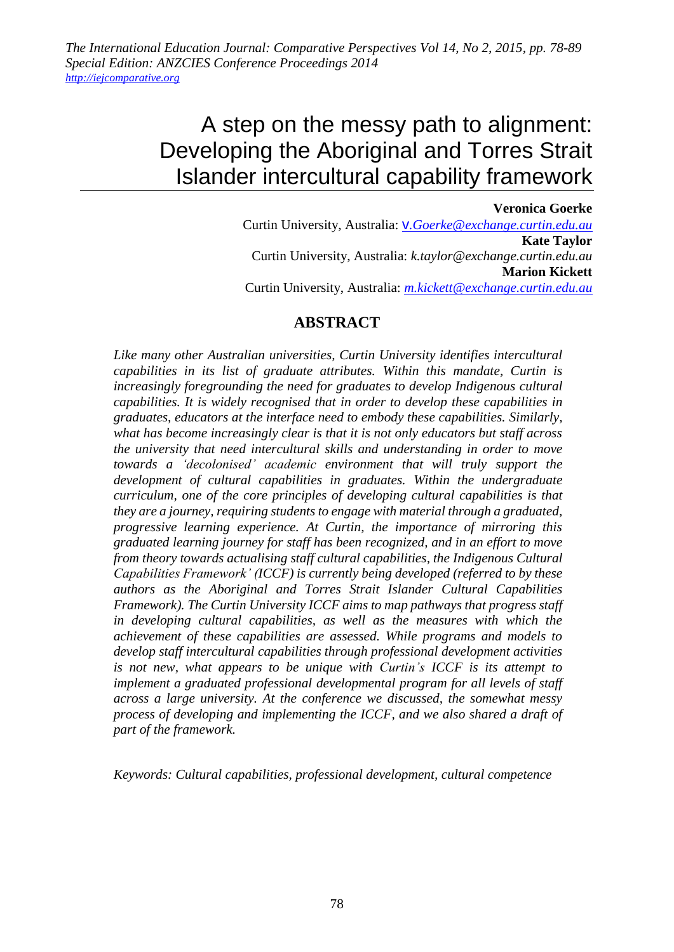*The International Education Journal: Comparative Perspectives Vol 14, No 2, 2015, pp. 78-89 Special Edition: ANZCIES Conference Proceedings 2014 [http://iejcomparative.org](http://iejcomparative.org/)*

# A step on the messy path to alignment: Developing the Aboriginal and Torres Strait Islander intercultural capability framework

### **Veronica Goerke** Curtin University, Australia: v*[.Goerke@exchange.curtin.edu.au](mailto:v.Goerke@exchange.curtin.edu.au)* **Kate Taylor** Curtin University, Australia: *k.taylor@exchange.curtin.edu.au* **Marion Kickett** Curtin University, Australia: *[m.kickett@exchange.curtin.edu.au](mailto:m.kickett@exchange.curtin.edu.au)*

## **ABSTRACT**

*Like many other Australian universities, Curtin University identifies intercultural capabilities in its list of graduate attributes. Within this mandate, Curtin is increasingly foregrounding the need for graduates to develop Indigenous cultural capabilities. It is widely recognised that in order to develop these capabilities in graduates, educators at the interface need to embody these capabilities. Similarly, what has become increasingly clear is that it is not only educators but staff across the university that need intercultural skills and understanding in order to move towards a 'decolonised' academic environment that will truly support the development of cultural capabilities in graduates. Within the undergraduate curriculum, one of the core principles of developing cultural capabilities is that they are a journey, requiring students to engage with material through a graduated, progressive learning experience. At Curtin, the importance of mirroring this graduated learning journey for staff has been recognized, and in an effort to move from theory towards actualising staff cultural capabilities, the Indigenous Cultural Capabilities Framework' (ICCF) is currently being developed (referred to by these authors as the Aboriginal and Torres Strait Islander Cultural Capabilities Framework). The Curtin University ICCF aims to map pathways that progress staff*  in developing cultural capabilities, as well as the measures with which the *achievement of these capabilities are assessed. While programs and models to develop staff intercultural capabilities through professional development activities is not new, what appears to be unique with Curtin's ICCF is its attempt to implement a graduated professional developmental program for all levels of staff across a large university. At the conference we discussed, the somewhat messy process of developing and implementing the ICCF, and we also shared a draft of part of the framework.*

*Keywords: Cultural capabilities, professional development, cultural competence*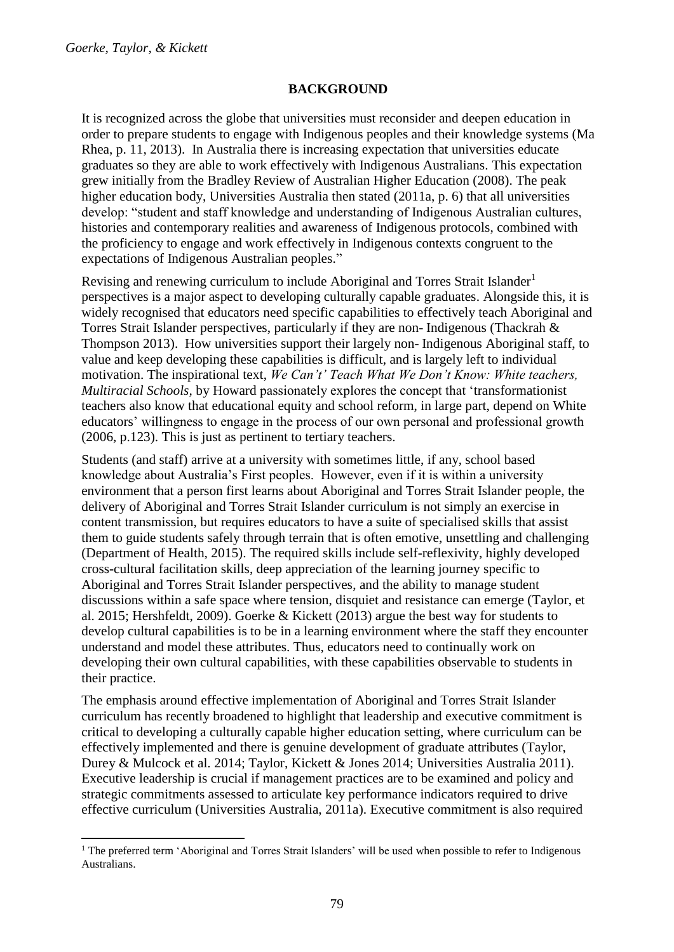#### **BACKGROUND**

It is recognized across the globe that universities must reconsider and deepen education in order to prepare students to engage with Indigenous peoples and their knowledge systems (Ma Rhea, p. 11, 2013). In Australia there is increasing expectation that universities educate graduates so they are able to work effectively with Indigenous Australians. This expectation grew initially from the Bradley Review of Australian Higher Education (2008). The peak higher education body, Universities Australia then stated (2011a, p. 6) that all universities develop: "student and staff knowledge and understanding of Indigenous Australian cultures, histories and contemporary realities and awareness of Indigenous protocols, combined with the proficiency to engage and work effectively in Indigenous contexts congruent to the expectations of Indigenous Australian peoples."

Revising and renewing curriculum to include Aboriginal and Torres Strait Islander<sup>1</sup> perspectives is a major aspect to developing culturally capable graduates. Alongside this, it is widely recognised that educators need specific capabilities to effectively teach Aboriginal and Torres Strait Islander perspectives, particularly if they are non- Indigenous (Thackrah & Thompson 2013). How universities support their largely non- Indigenous Aboriginal staff, to value and keep developing these capabilities is difficult, and is largely left to individual motivation. The inspirational text, *We Can't' Teach What We Don't Know: White teachers, Multiracial Schools,* by Howard passionately explores the concept that 'transformationist teachers also know that educational equity and school reform, in large part, depend on White educators' willingness to engage in the process of our own personal and professional growth (2006, p.123). This is just as pertinent to tertiary teachers.

Students (and staff) arrive at a university with sometimes little, if any, school based knowledge about Australia's First peoples. However, even if it is within a university environment that a person first learns about Aboriginal and Torres Strait Islander people, the delivery of Aboriginal and Torres Strait Islander curriculum is not simply an exercise in content transmission, but requires educators to have a suite of specialised skills that assist them to guide students safely through terrain that is often emotive, unsettling and challenging (Department of Health, 2015). The required skills include self-reflexivity, highly developed cross-cultural facilitation skills, deep appreciation of the learning journey specific to Aboriginal and Torres Strait Islander perspectives, and the ability to manage student discussions within a safe space where tension, disquiet and resistance can emerge (Taylor, et al. 2015; Hershfeldt, 2009). Goerke & Kickett (2013) argue the best way for students to develop cultural capabilities is to be in a learning environment where the staff they encounter understand and model these attributes. Thus, educators need to continually work on developing their own cultural capabilities, with these capabilities observable to students in their practice.

The emphasis around effective implementation of Aboriginal and Torres Strait Islander curriculum has recently broadened to highlight that leadership and executive commitment is critical to developing a culturally capable higher education setting, where curriculum can be effectively implemented and there is genuine development of graduate attributes (Taylor, Durey & Mulcock et al. 2014; Taylor, Kickett & Jones 2014; Universities Australia 2011). Executive leadership is crucial if management practices are to be examined and policy and strategic commitments assessed to articulate key performance indicators required to drive effective curriculum (Universities Australia, 2011a). Executive commitment is also required

**<sup>.</sup>** <sup>1</sup> The preferred term 'Aboriginal and Torres Strait Islanders' will be used when possible to refer to Indigenous Australians.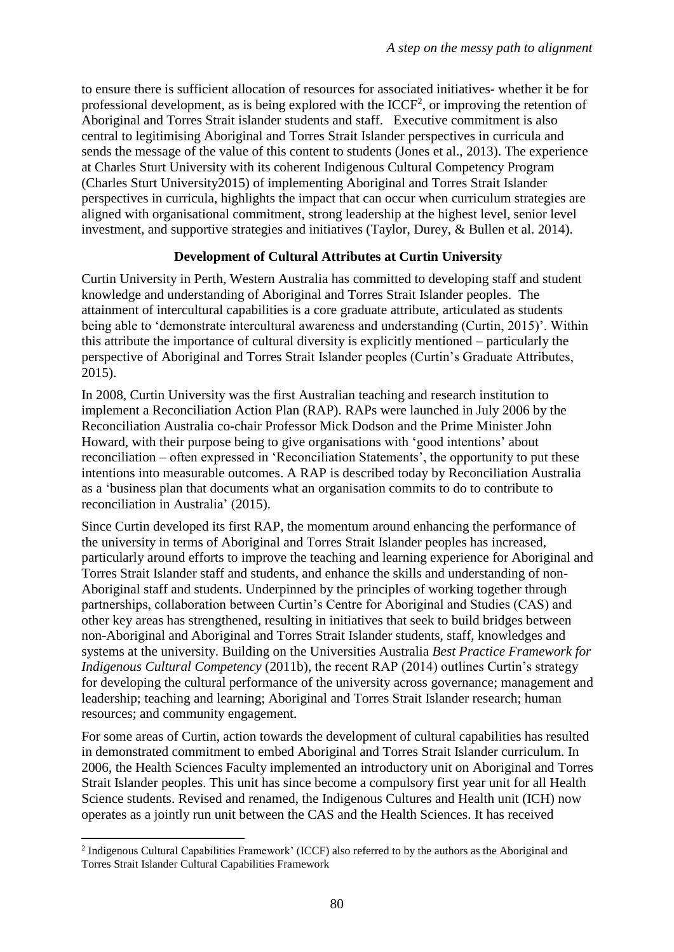to ensure there is sufficient allocation of resources for associated initiatives- whether it be for professional development, as is being explored with the  $ICCF<sup>2</sup>$ , or improving the retention of Aboriginal and Torres Strait islander students and staff. Executive commitment is also central to legitimising Aboriginal and Torres Strait Islander perspectives in curricula and sends the message of the value of this content to students (Jones et al., 2013). The experience at Charles Sturt University with its coherent Indigenous Cultural Competency Program (Charles Sturt University2015) of implementing Aboriginal and Torres Strait Islander perspectives in curricula, highlights the impact that can occur when curriculum strategies are aligned with organisational commitment, strong leadership at the highest level, senior level investment, and supportive strategies and initiatives (Taylor, Durey, & Bullen et al. 2014).

## **Development of Cultural Attributes at Curtin University**

Curtin University in Perth, Western Australia has committed to developing staff and student knowledge and understanding of Aboriginal and Torres Strait Islander peoples. The attainment of intercultural capabilities is a core graduate attribute, articulated as students being able to 'demonstrate intercultural awareness and understanding (Curtin, 2015)'. Within this attribute the importance of cultural diversity is explicitly mentioned – particularly the perspective of Aboriginal and Torres Strait Islander peoples (Curtin's Graduate Attributes, 2015).

In 2008, Curtin University was the first Australian teaching and research institution to implement a Reconciliation Action Plan (RAP). RAPs were launched in July 2006 by the Reconciliation Australia co-chair Professor Mick Dodson and the Prime Minister John Howard, with their purpose being to give organisations with 'good intentions' about reconciliation – often expressed in 'Reconciliation Statements', the opportunity to put these intentions into measurable outcomes. A RAP is described today by Reconciliation Australia as a 'business plan that documents what an organisation commits to do to contribute to reconciliation in Australia' (2015).

Since Curtin developed its first RAP, the momentum around enhancing the performance of the university in terms of Aboriginal and Torres Strait Islander peoples has increased, particularly around efforts to improve the teaching and learning experience for Aboriginal and Torres Strait Islander staff and students, and enhance the skills and understanding of non-Aboriginal staff and students. Underpinned by the principles of working together through partnerships, collaboration between Curtin's Centre for Aboriginal and Studies (CAS) and other key areas has strengthened, resulting in initiatives that seek to build bridges between non-Aboriginal and Aboriginal and Torres Strait Islander students, staff, knowledges and systems at the university. Building on the Universities Australia *Best Practice Framework for Indigenous Cultural Competency* (2011b), the recent RAP (2014) outlines Curtin's strategy for developing the cultural performance of the university across governance; management and leadership; teaching and learning; Aboriginal and Torres Strait Islander research; human resources; and community engagement.

For some areas of Curtin, action towards the development of cultural capabilities has resulted in demonstrated commitment to embed Aboriginal and Torres Strait Islander curriculum. In 2006, the Health Sciences Faculty implemented an introductory unit on Aboriginal and Torres Strait Islander peoples. This unit has since become a compulsory first year unit for all Health Science students. Revised and renamed, the Indigenous Cultures and Health unit (ICH) now operates as a jointly run unit between the CAS and the Health Sciences. It has received

**<sup>.</sup>** <sup>2</sup> Indigenous Cultural Capabilities Framework' (ICCF) also referred to by the authors as the Aboriginal and Torres Strait Islander Cultural Capabilities Framework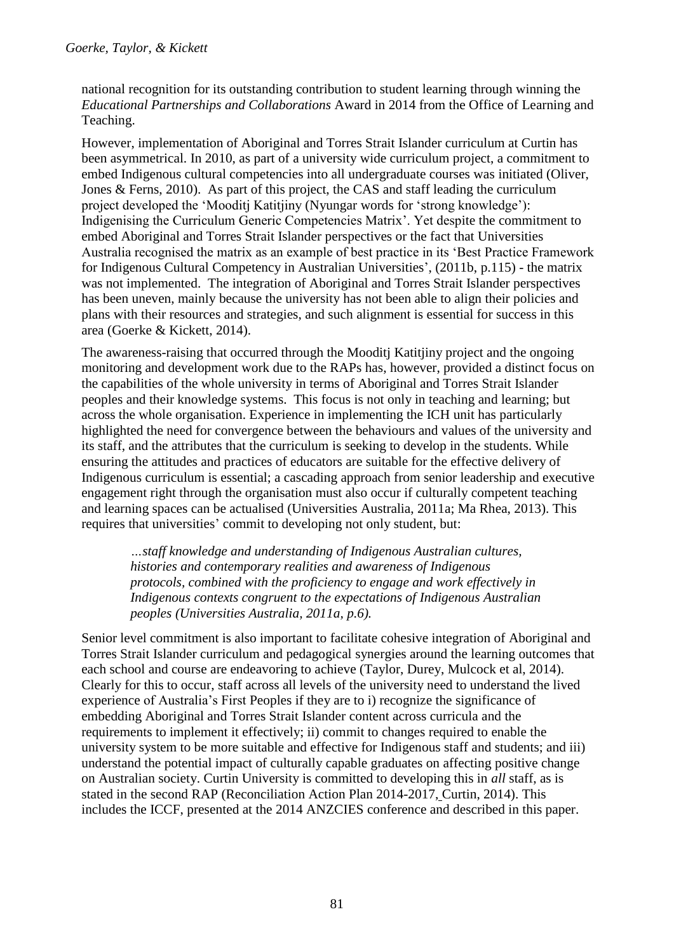national recognition for its outstanding contribution to student learning through winning the *Educational Partnerships and Collaborations* Award in 2014 from the Office of Learning and Teaching.

However, implementation of Aboriginal and Torres Strait Islander curriculum at Curtin has been asymmetrical. In 2010, as part of a university wide curriculum project, a commitment to embed Indigenous cultural competencies into all undergraduate courses was initiated (Oliver, Jones & Ferns, 2010). As part of this project, the CAS and staff leading the curriculum project developed the 'Mooditj Katitjiny (Nyungar words for 'strong knowledge'): Indigenising the Curriculum Generic Competencies Matrix'. Yet despite the commitment to embed Aboriginal and Torres Strait Islander perspectives or the fact that Universities Australia recognised the matrix as an example of best practice in its 'Best Practice Framework for Indigenous Cultural Competency in Australian Universities', (2011b, p.115) - the matrix was not implemented. The integration of Aboriginal and Torres Strait Islander perspectives has been uneven, mainly because the university has not been able to align their policies and plans with their resources and strategies, and such alignment is essential for success in this area (Goerke & Kickett, 2014).

The awareness-raising that occurred through the Mooditj Katitjiny project and the ongoing monitoring and development work due to the RAPs has, however, provided a distinct focus on the capabilities of the whole university in terms of Aboriginal and Torres Strait Islander peoples and their knowledge systems. This focus is not only in teaching and learning; but across the whole organisation. Experience in implementing the ICH unit has particularly highlighted the need for convergence between the behaviours and values of the university and its staff, and the attributes that the curriculum is seeking to develop in the students. While ensuring the attitudes and practices of educators are suitable for the effective delivery of Indigenous curriculum is essential; a cascading approach from senior leadership and executive engagement right through the organisation must also occur if culturally competent teaching and learning spaces can be actualised (Universities Australia, 2011a; Ma Rhea, 2013). This requires that universities' commit to developing not only student, but:

*…staff knowledge and understanding of Indigenous Australian cultures, histories and contemporary realities and awareness of Indigenous protocols, combined with the proficiency to engage and work effectively in Indigenous contexts congruent to the expectations of Indigenous Australian peoples (Universities Australia, 2011a, p.6).*

Senior level commitment is also important to facilitate cohesive integration of Aboriginal and Torres Strait Islander curriculum and pedagogical synergies around the learning outcomes that each school and course are endeavoring to achieve (Taylor, Durey, Mulcock et al, 2014). Clearly for this to occur, staff across all levels of the university need to understand the lived experience of Australia's First Peoples if they are to i) recognize the significance of embedding Aboriginal and Torres Strait Islander content across curricula and the requirements to implement it effectively; ii) commit to changes required to enable the university system to be more suitable and effective for Indigenous staff and students; and iii) understand the potential impact of culturally capable graduates on affecting positive change on Australian society. Curtin University is committed to developing this in *all* staff, as is stated in the second RAP [\(Reconciliation Action Plan 2014-2017,](http://karda.curtin.edu.au/about_us/rap.cfm) Curtin, 2014). This includes the ICCF, presented at the 2014 ANZCIES conference and described in this paper.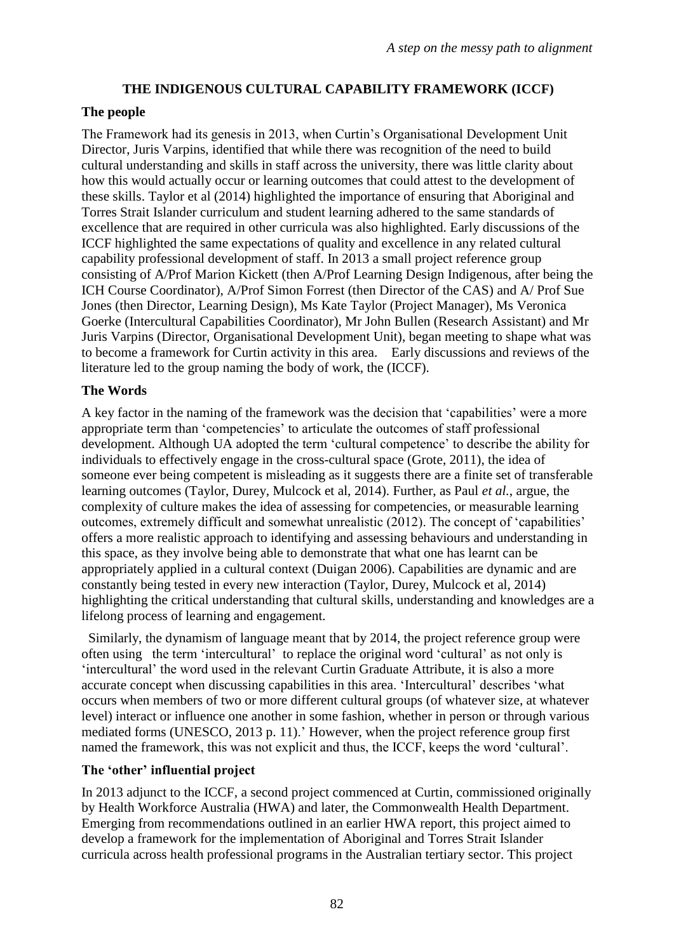## **THE INDIGENOUS CULTURAL CAPABILITY FRAMEWORK (ICCF)**

## **The people**

The Framework had its genesis in 2013, when Curtin's Organisational Development Unit Director, Juris Varpins, identified that while there was recognition of the need to build cultural understanding and skills in staff across the university, there was little clarity about how this would actually occur or learning outcomes that could attest to the development of these skills. Taylor et al (2014) highlighted the importance of ensuring that Aboriginal and Torres Strait Islander curriculum and student learning adhered to the same standards of excellence that are required in other curricula was also highlighted. Early discussions of the ICCF highlighted the same expectations of quality and excellence in any related cultural capability professional development of staff. In 2013 a small project reference group consisting of A/Prof Marion Kickett (then A/Prof Learning Design Indigenous, after being the ICH Course Coordinator), A/Prof Simon Forrest (then Director of the CAS) and A/ Prof Sue Jones (then Director, Learning Design), Ms Kate Taylor (Project Manager), Ms Veronica Goerke (Intercultural Capabilities Coordinator), Mr John Bullen (Research Assistant) and Mr Juris Varpins (Director, Organisational Development Unit), began meeting to shape what was to become a framework for Curtin activity in this area. Early discussions and reviews of the literature led to the group naming the body of work, the (ICCF).

## **The Words**

A key factor in the naming of the framework was the decision that 'capabilities' were a more appropriate term than 'competencies' to articulate the outcomes of staff professional development. Although UA adopted the term 'cultural competence' to describe the ability for individuals to effectively engage in the cross-cultural space (Grote, 2011), the idea of someone ever being competent is misleading as it suggests there are a finite set of transferable learning outcomes (Taylor, Durey, Mulcock et al, 2014). Further, as Paul *et al.*, argue, the complexity of culture makes the idea of assessing for competencies, or measurable learning outcomes, extremely difficult and somewhat unrealistic (2012). The concept of 'capabilities' offers a more realistic approach to identifying and assessing behaviours and understanding in this space, as they involve being able to demonstrate that what one has learnt can be appropriately applied in a cultural context (Duigan 2006). Capabilities are dynamic and are constantly being tested in every new interaction (Taylor, Durey, Mulcock et al, 2014) highlighting the critical understanding that cultural skills, understanding and knowledges are a lifelong process of learning and engagement.

 Similarly, the dynamism of language meant that by 2014, the project reference group were often using the term 'intercultural' to replace the original word 'cultural' as not only is 'intercultural' the word used in the relevant Curtin Graduate Attribute, it is also a more accurate concept when discussing capabilities in this area. 'Intercultural' describes 'what occurs when members of two or more different cultural groups (of whatever size, at whatever level) interact or influence one another in some fashion, whether in person or through various mediated forms (UNESCO, 2013 p. 11).' However, when the project reference group first named the framework, this was not explicit and thus, the ICCF, keeps the word 'cultural'.

## **The 'other' influential project**

In 2013 adjunct to the ICCF, a second project commenced at Curtin, commissioned originally by Health Workforce Australia (HWA) and later, the Commonwealth Health Department. Emerging from recommendations outlined in an earlier HWA report, this project aimed to develop a framework for the implementation of Aboriginal and Torres Strait Islander curricula across health professional programs in the Australian tertiary sector. This project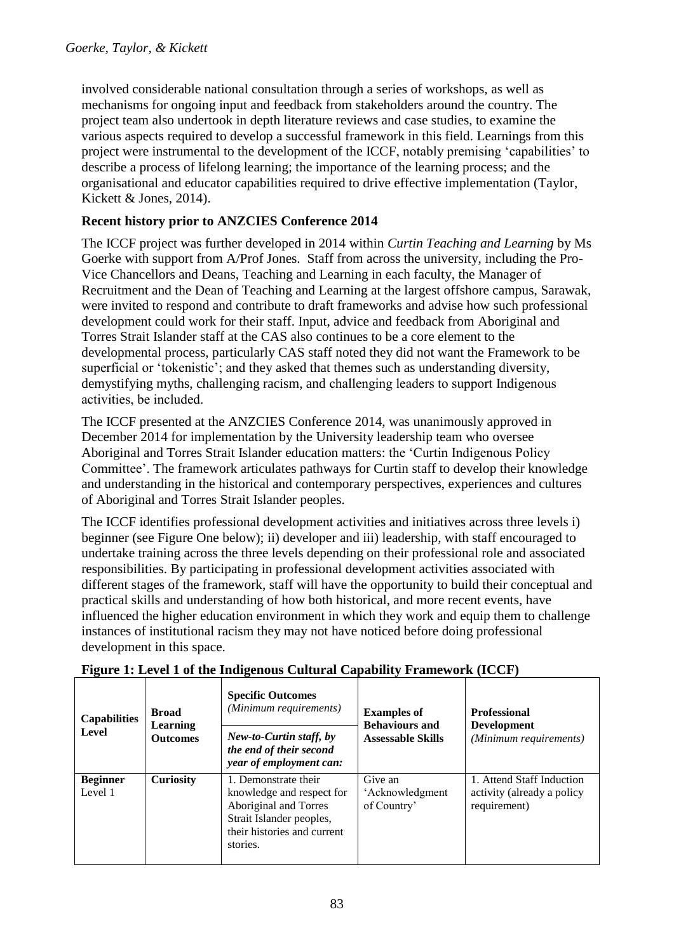involved considerable national consultation through a series of workshops, as well as mechanisms for ongoing input and feedback from stakeholders around the country. The project team also undertook in depth literature reviews and case studies, to examine the various aspects required to develop a successful framework in this field. Learnings from this project were instrumental to the development of the ICCF, notably premising 'capabilities' to describe a process of lifelong learning; the importance of the learning process; and the organisational and educator capabilities required to drive effective implementation (Taylor, Kickett & Jones, 2014).

## **Recent history prior to ANZCIES Conference 2014**

The ICCF project was further developed in 2014 within *Curtin Teaching and Learning* by Ms Goerke with support from A/Prof Jones. Staff from across the university, including the Pro-Vice Chancellors and Deans, Teaching and Learning in each faculty, the Manager of Recruitment and the Dean of Teaching and Learning at the largest offshore campus, Sarawak, were invited to respond and contribute to draft frameworks and advise how such professional development could work for their staff. Input, advice and feedback from Aboriginal and Torres Strait Islander staff at the CAS also continues to be a core element to the developmental process, particularly CAS staff noted they did not want the Framework to be superficial or 'tokenistic'; and they asked that themes such as understanding diversity, demystifying myths, challenging racism, and challenging leaders to support Indigenous activities, be included.

The ICCF presented at the ANZCIES Conference 2014, was unanimously approved in December 2014 for implementation by the University leadership team who oversee Aboriginal and Torres Strait Islander education matters: the 'Curtin Indigenous Policy Committee'. The framework articulates pathways for Curtin staff to develop their knowledge and understanding in the historical and contemporary perspectives, experiences and cultures of Aboriginal and Torres Strait Islander peoples.

The ICCF identifies professional development activities and initiatives across three levels i) beginner (see Figure One below); ii) developer and iii) leadership, with staff encouraged to undertake training across the three levels depending on their professional role and associated responsibilities. By participating in professional development activities associated with different stages of the framework, staff will have the opportunity to build their conceptual and practical skills and understanding of how both historical, and more recent events, have influenced the higher education environment in which they work and equip them to challenge instances of institutional racism they may not have noticed before doing professional development in this space.

| <b>Capabilities</b><br>Level | <b>Broad</b><br>Learning<br><b>Outcomes</b> | <b>Specific Outcomes</b><br>(Minimum requirements)                                                                                                | <b>Examples of</b><br><b>Behaviours and</b> | <b>Professional</b><br><b>Development</b><br>(Minimum requirements)     |
|------------------------------|---------------------------------------------|---------------------------------------------------------------------------------------------------------------------------------------------------|---------------------------------------------|-------------------------------------------------------------------------|
|                              |                                             | New-to-Curtin staff, by<br>the end of their second<br>year of employment can:                                                                     | <b>Assessable Skills</b>                    |                                                                         |
| <b>Beginner</b><br>Level 1   | <b>Curiosity</b>                            | 1. Demonstrate their<br>knowledge and respect for<br>Aboriginal and Torres<br>Strait Islander peoples,<br>their histories and current<br>stories. | Give an<br>'Acknowledgment<br>of Country'   | 1. Attend Staff Induction<br>activity (already a policy<br>requirement) |

## **Figure 1: Level 1 of the Indigenous Cultural Capability Framework (ICCF)**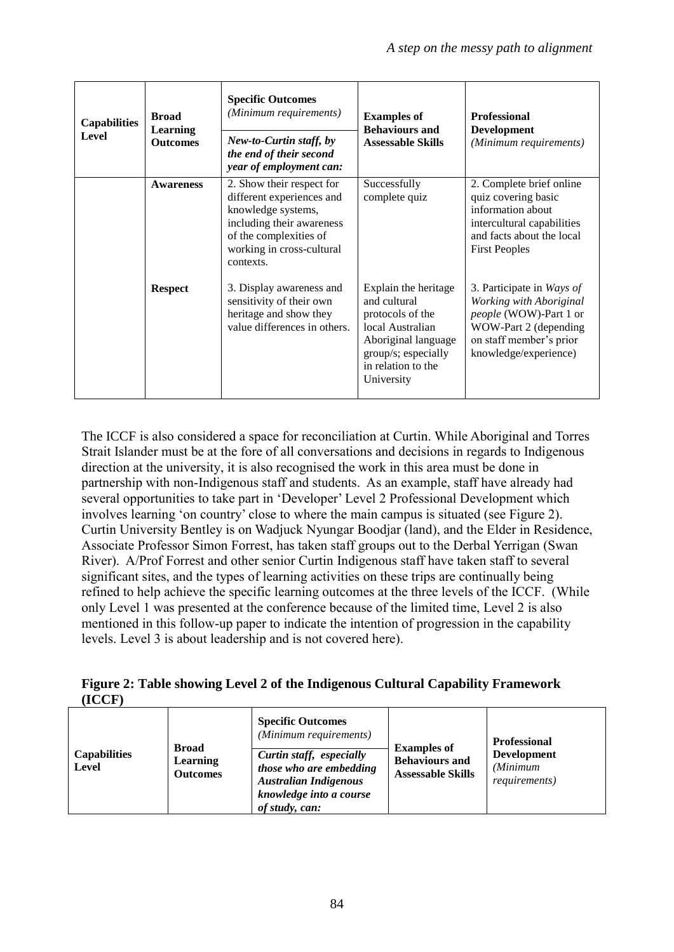| <b>Capabilities</b><br>Level | <b>Broad</b><br>Learning<br><b>Outcomes</b> | <b>Specific Outcomes</b><br>(Minimum requirements)<br>New-to-Curtin staff, by<br>the end of their second<br>year of employment can:                                           | <b>Examples of</b><br><b>Behaviours and</b><br><b>Assessable Skills</b>                                                                                        | <b>Professional</b><br><b>Development</b><br>(Minimum requirements)                                                                                         |
|------------------------------|---------------------------------------------|-------------------------------------------------------------------------------------------------------------------------------------------------------------------------------|----------------------------------------------------------------------------------------------------------------------------------------------------------------|-------------------------------------------------------------------------------------------------------------------------------------------------------------|
|                              | <b>Awareness</b>                            | 2. Show their respect for<br>different experiences and<br>knowledge systems,<br>including their awareness<br>of the complexities of<br>working in cross-cultural<br>contexts. | Successfully<br>complete quiz                                                                                                                                  | 2. Complete brief online<br>quiz covering basic<br>information about<br>intercultural capabilities<br>and facts about the local<br><b>First Peoples</b>     |
|                              | <b>Respect</b>                              | 3. Display awareness and<br>sensitivity of their own<br>heritage and show they<br>value differences in others.                                                                | Explain the heritage<br>and cultural<br>protocols of the<br>local Australian<br>Aboriginal language<br>group/s; especially<br>in relation to the<br>University | 3. Participate in Ways of<br>Working with Aboriginal<br>people (WOW)-Part 1 or<br>WOW-Part 2 (depending<br>on staff member's prior<br>knowledge/experience) |

The ICCF is also considered a space for reconciliation at Curtin. While Aboriginal and Torres Strait Islander must be at the fore of all conversations and decisions in regards to Indigenous direction at the university, it is also recognised the work in this area must be done in partnership with non-Indigenous staff and students. As an example, staff have already had several opportunities to take part in 'Developer' Level 2 Professional Development which involves learning 'on country' close to where the main campus is situated (see Figure 2). Curtin University Bentley is on Wadjuck Nyungar Boodjar (land), and the Elder in Residence, Associate Professor Simon Forrest, has taken staff groups out to the Derbal Yerrigan (Swan River). A/Prof Forrest and other senior Curtin Indigenous staff have taken staff to several significant sites, and the types of learning activities on these trips are continually being refined to help achieve the specific learning outcomes at the three levels of the ICCF. (While only Level 1 was presented at the conference because of the limited time, Level 2 is also mentioned in this follow-up paper to indicate the intention of progression in the capability levels. Level 3 is about leadership and is not covered here).

**Figure 2: Table showing Level 2 of the Indigenous Cultural Capability Framework (ICCF)**

|                                     | <b>Broad</b>                       | <b>Specific Outcomes</b><br>(Minimum requirements)                                                                               | <b>Examples of</b>                                | <b>Professional</b>                                     |
|-------------------------------------|------------------------------------|----------------------------------------------------------------------------------------------------------------------------------|---------------------------------------------------|---------------------------------------------------------|
| <b>Capabilities</b><br><b>Level</b> | <b>Learning</b><br><b>Outcomes</b> | Curtin staff, especially<br>those who are embedding<br><b>Australian Indigenous</b><br>knowledge into a course<br>of study, can: | <b>Behaviours and</b><br><b>Assessable Skills</b> | <b>Development</b><br>(Minimum<br><i>requirements</i> ) |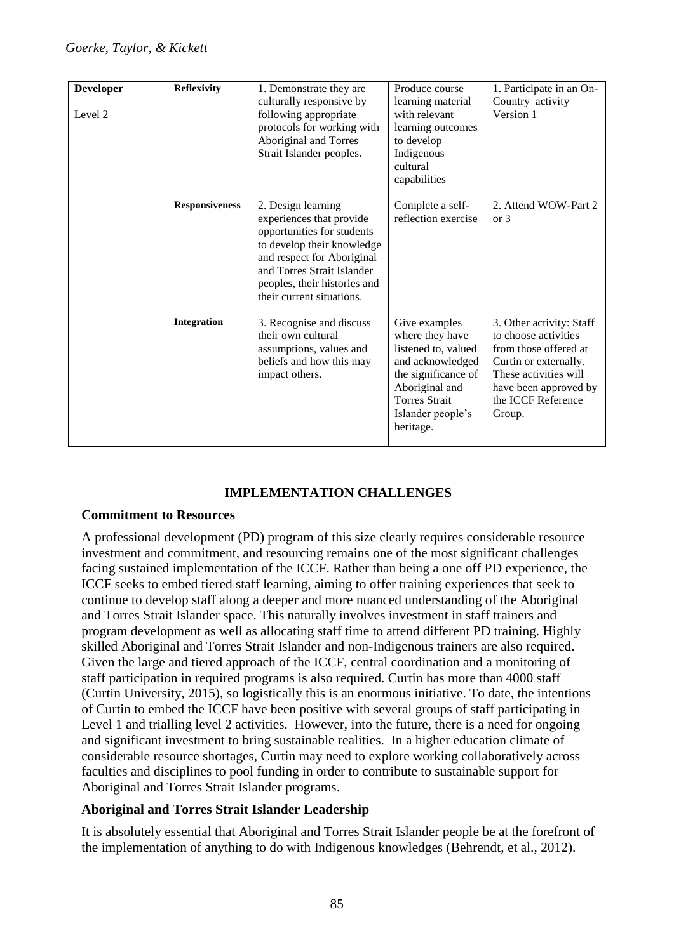| <b>Developer</b> | <b>Reflexivity</b>    | 1. Demonstrate they are                                                                                                                                                                                                             | Produce course                                                                                                                                                                 | 1. Participate in an On-                                                                                                                                                             |
|------------------|-----------------------|-------------------------------------------------------------------------------------------------------------------------------------------------------------------------------------------------------------------------------------|--------------------------------------------------------------------------------------------------------------------------------------------------------------------------------|--------------------------------------------------------------------------------------------------------------------------------------------------------------------------------------|
|                  |                       | culturally responsive by                                                                                                                                                                                                            | learning material                                                                                                                                                              | Country activity                                                                                                                                                                     |
| Level 2          |                       | following appropriate                                                                                                                                                                                                               | with relevant                                                                                                                                                                  | Version 1                                                                                                                                                                            |
|                  |                       | protocols for working with                                                                                                                                                                                                          | learning outcomes                                                                                                                                                              |                                                                                                                                                                                      |
|                  |                       | Aboriginal and Torres                                                                                                                                                                                                               | to develop                                                                                                                                                                     |                                                                                                                                                                                      |
|                  |                       | Strait Islander peoples.                                                                                                                                                                                                            | Indigenous                                                                                                                                                                     |                                                                                                                                                                                      |
|                  |                       |                                                                                                                                                                                                                                     | cultural                                                                                                                                                                       |                                                                                                                                                                                      |
|                  |                       |                                                                                                                                                                                                                                     | capabilities                                                                                                                                                                   |                                                                                                                                                                                      |
|                  | <b>Responsiveness</b> | 2. Design learning<br>experiences that provide<br>opportunities for students<br>to develop their knowledge<br>and respect for Aboriginal<br>and Torres Strait Islander<br>peoples, their histories and<br>their current situations. | Complete a self-<br>reflection exercise                                                                                                                                        | 2. Attend WOW-Part 2<br>or 3                                                                                                                                                         |
|                  | <b>Integration</b>    | 3. Recognise and discuss<br>their own cultural<br>assumptions, values and<br>beliefs and how this may<br>impact others.                                                                                                             | Give examples<br>where they have<br>listened to, valued<br>and acknowledged<br>the significance of<br>Aboriginal and<br><b>Torres Strait</b><br>Islander people's<br>heritage. | 3. Other activity: Staff<br>to choose activities<br>from those offered at<br>Curtin or externally.<br>These activities will<br>have been approved by<br>the ICCF Reference<br>Group. |

### **IMPLEMENTATION CHALLENGES**

#### **Commitment to Resources**

A professional development (PD) program of this size clearly requires considerable resource investment and commitment, and resourcing remains one of the most significant challenges facing sustained implementation of the ICCF. Rather than being a one off PD experience, the ICCF seeks to embed tiered staff learning, aiming to offer training experiences that seek to continue to develop staff along a deeper and more nuanced understanding of the Aboriginal and Torres Strait Islander space. This naturally involves investment in staff trainers and program development as well as allocating staff time to attend different PD training. Highly skilled Aboriginal and Torres Strait Islander and non-Indigenous trainers are also required. Given the large and tiered approach of the ICCF, central coordination and a monitoring of staff participation in required programs is also required. Curtin has more than 4000 staff (Curtin University, 2015), so logistically this is an enormous initiative. To date, the intentions of Curtin to embed the ICCF have been positive with several groups of staff participating in Level 1 and trialling level 2 activities. However, into the future, there is a need for ongoing and significant investment to bring sustainable realities. In a higher education climate of considerable resource shortages, Curtin may need to explore working collaboratively across faculties and disciplines to pool funding in order to contribute to sustainable support for Aboriginal and Torres Strait Islander programs.

#### **Aboriginal and Torres Strait Islander Leadership**

It is absolutely essential that Aboriginal and Torres Strait Islander people be at the forefront of the implementation of anything to do with Indigenous knowledges (Behrendt, et al., 2012).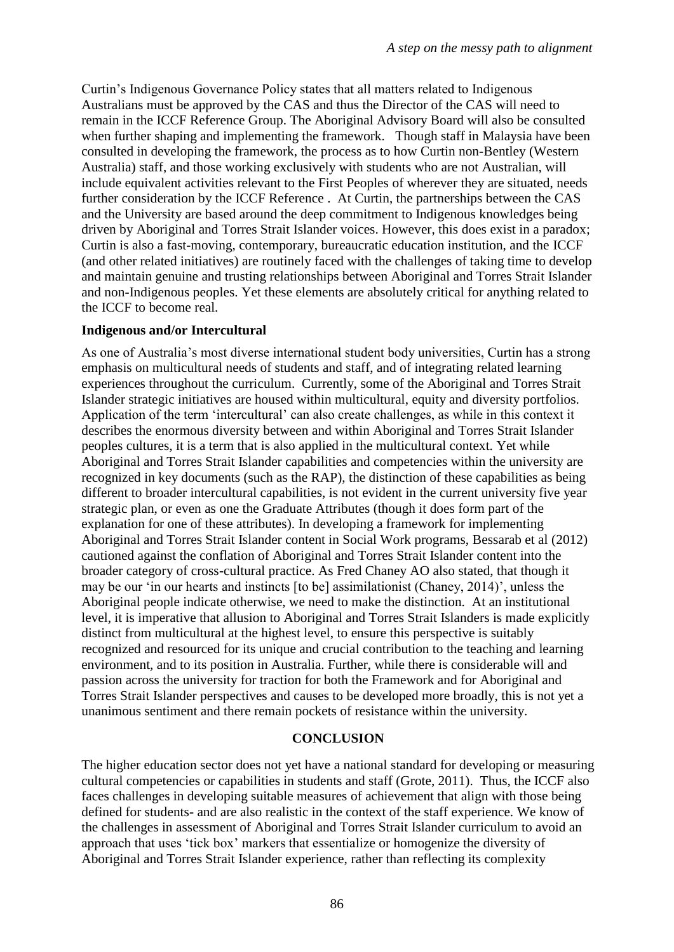Curtin's Indigenous Governance Policy states that all matters related to Indigenous Australians must be approved by the CAS and thus the Director of the CAS will need to remain in the ICCF Reference Group. The Aboriginal Advisory Board will also be consulted when further shaping and implementing the framework. Though staff in Malaysia have been consulted in developing the framework, the process as to how Curtin non-Bentley (Western Australia) staff, and those working exclusively with students who are not Australian, will include equivalent activities relevant to the First Peoples of wherever they are situated, needs further consideration by the ICCF Reference . At Curtin, the partnerships between the CAS and the University are based around the deep commitment to Indigenous knowledges being driven by Aboriginal and Torres Strait Islander voices. However, this does exist in a paradox; Curtin is also a fast-moving, contemporary, bureaucratic education institution, and the ICCF (and other related initiatives) are routinely faced with the challenges of taking time to develop and maintain genuine and trusting relationships between Aboriginal and Torres Strait Islander and non-Indigenous peoples. Yet these elements are absolutely critical for anything related to the ICCF to become real.

#### **Indigenous and/or Intercultural**

As one of Australia's most diverse international student body universities, Curtin has a strong emphasis on multicultural needs of students and staff, and of integrating related learning experiences throughout the curriculum. Currently, some of the Aboriginal and Torres Strait Islander strategic initiatives are housed within multicultural, equity and diversity portfolios. Application of the term 'intercultural' can also create challenges, as while in this context it describes the enormous diversity between and within Aboriginal and Torres Strait Islander peoples cultures, it is a term that is also applied in the multicultural context. Yet while Aboriginal and Torres Strait Islander capabilities and competencies within the university are recognized in key documents (such as the RAP), the distinction of these capabilities as being different to broader intercultural capabilities, is not evident in the current university five year strategic plan, or even as one the Graduate Attributes (though it does form part of the explanation for one of these attributes). In developing a framework for implementing Aboriginal and Torres Strait Islander content in Social Work programs, Bessarab et al (2012) cautioned against the conflation of Aboriginal and Torres Strait Islander content into the broader category of cross-cultural practice. As Fred Chaney AO also stated, that though it may be our 'in our hearts and instincts [to be] assimilationist (Chaney, 2014)', unless the Aboriginal people indicate otherwise, we need to make the distinction. At an institutional level, it is imperative that allusion to Aboriginal and Torres Strait Islanders is made explicitly distinct from multicultural at the highest level, to ensure this perspective is suitably recognized and resourced for its unique and crucial contribution to the teaching and learning environment, and to its position in Australia. Further, while there is considerable will and passion across the university for traction for both the Framework and for Aboriginal and Torres Strait Islander perspectives and causes to be developed more broadly, this is not yet a unanimous sentiment and there remain pockets of resistance within the university.

#### **CONCLUSION**

The higher education sector does not yet have a national standard for developing or measuring cultural competencies or capabilities in students and staff (Grote, 2011). Thus, the ICCF also faces challenges in developing suitable measures of achievement that align with those being defined for students- and are also realistic in the context of the staff experience. We know of the challenges in assessment of Aboriginal and Torres Strait Islander curriculum to avoid an approach that uses 'tick box' markers that essentialize or homogenize the diversity of Aboriginal and Torres Strait Islander experience, rather than reflecting its complexity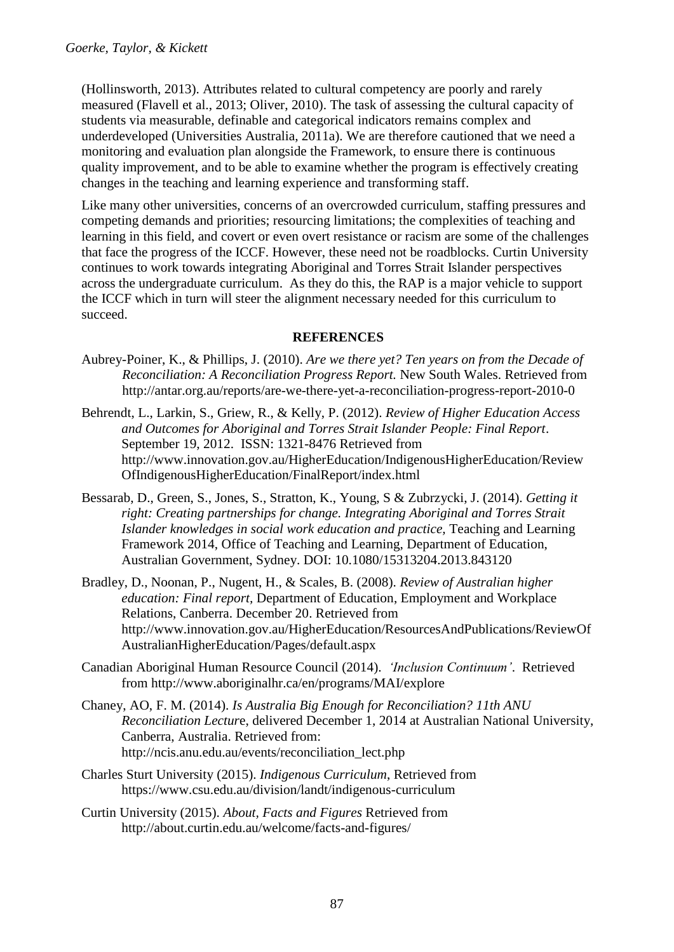(Hollinsworth, 2013). Attributes related to cultural competency are poorly and rarely measured (Flavell et al., 2013; Oliver, 2010). The task of assessing the cultural capacity of students via measurable, definable and categorical indicators remains complex and underdeveloped (Universities Australia, 2011a). We are therefore cautioned that we need a monitoring and evaluation plan alongside the Framework, to ensure there is continuous quality improvement, and to be able to examine whether the program is effectively creating changes in the teaching and learning experience and transforming staff.

Like many other universities, concerns of an overcrowded curriculum, staffing pressures and competing demands and priorities; resourcing limitations; the complexities of teaching and learning in this field, and covert or even overt resistance or racism are some of the challenges that face the progress of the ICCF. However, these need not be roadblocks. Curtin University continues to work towards integrating Aboriginal and Torres Strait Islander perspectives across the undergraduate curriculum. As they do this, the RAP is a major vehicle to support the ICCF which in turn will steer the alignment necessary needed for this curriculum to succeed.

### **REFERENCES**

- Aubrey-Poiner, K., & Phillips, J. (2010). *Are we there yet? Ten years on from the Decade of Reconciliation: A Reconciliation Progress Report.* New South Wales. Retrieved from <http://antar.org.au/reports/are-we-there-yet-a-reconciliation-progress-report-2010-0>
- Behrendt, L., Larkin, S., Griew, R., & Kelly, P. (2012). *Review of Higher Education Access and Outcomes for Aboriginal and Torres Strait Islander People: Final Report*. September 19, 2012. ISSN: 1321-8476 Retrieved from [http://www.innovation.gov.au/HigherEducation/IndigenousHigherEducation/Review](http://www.innovation.gov.au/HigherEducation/IndigenousHigherEducation/ReviewOfIndigenousHigherEducation/FinalReport/index.html) [OfIndigenousHigherEducation/FinalReport/index.html](http://www.innovation.gov.au/HigherEducation/IndigenousHigherEducation/ReviewOfIndigenousHigherEducation/FinalReport/index.html)
- Bessarab, D., Green, S., Jones, S., Stratton, K., Young, S & Zubrzycki, J. (2014). *Getting it right: Creating partnerships for change. Integrating Aboriginal and Torres Strait Islander knowledges in social work education and practice,* Teaching and Learning Framework 2014, Office of Teaching and Learning, Department of Education, Australian Government, Sydney. DOI: 10.1080/15313204.2013.843120
- Bradley, D., Noonan, P., Nugent, H., & Scales, B. (2008). *Review of Australian higher education: Final report,* Department of Education, Employment and Workplace Relations, Canberra. December 20. Retrieved from [http://www.innovation.gov.au/HigherEducation/ResourcesAndPublications/ReviewOf](http://www.innovation.gov.au/HigherEducation/ResourcesAndPublications/ReviewOfAustralianHigherEducation/Pages/default.aspx) [AustralianHigherEducation/Pages/default.aspx](http://www.innovation.gov.au/HigherEducation/ResourcesAndPublications/ReviewOfAustralianHigherEducation/Pages/default.aspx)
- Canadian Aboriginal Human Resource Council (2014). *'Inclusion Continuum'*. Retrieved from <http://www.aboriginalhr.ca/en/programs/MAI/explore>
- Chaney, AO, F. M. (2014). *Is Australia Big Enough for Reconciliation? 11th ANU Reconciliation Lectur*e, delivered December 1, 2014 at Australian National University, Canberra, Australia. Retrieved from: [http://ncis.anu.edu.au/events/reconciliation\\_lect.php](http://ncis.anu.edu.au/events/reconciliation_lect.php)
- Charles Sturt University (2015). *Indigenous Curriculum*, Retrieved from <https://www.csu.edu.au/division/landt/indigenous-curriculum>
- Curtin University (2015). *About, Facts and Figures* Retrieved from http://about.curtin.edu.au/welcome/facts-and-figures/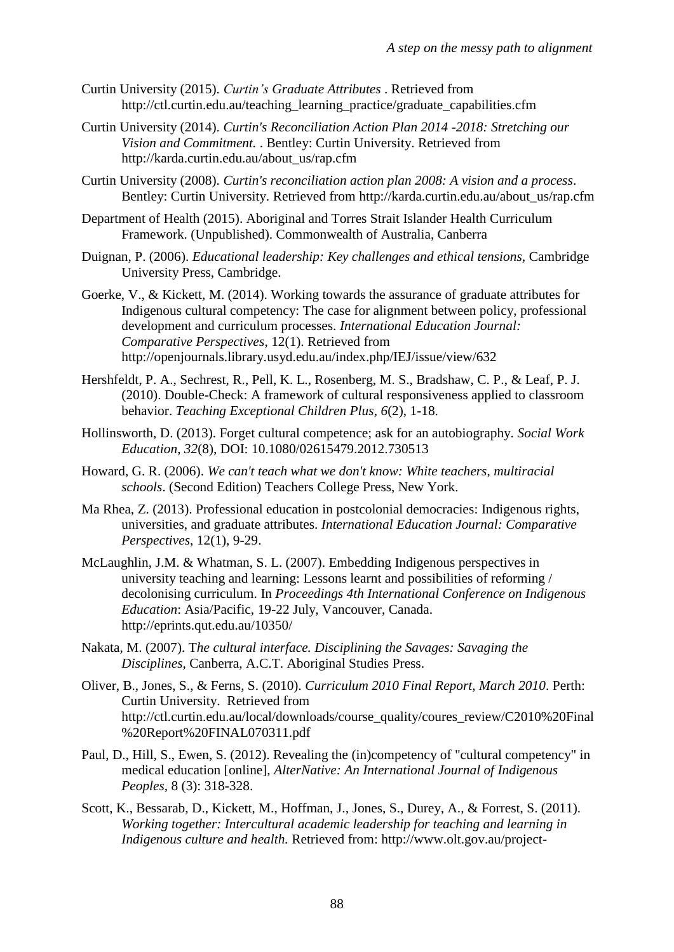- Curtin University (2015). *Curtin's Graduate Attributes* . Retrieved from http://ctl.curtin.edu.au/teaching\_learning\_practice/graduate\_capabilities.cfm
- Curtin University (2014). *Curtin's Reconciliation Action Plan 2014 -2018: Stretching our Vision and Commitment.* . Bentley: Curtin University. Retrieved from [http://karda.curtin.edu.au/about\\_us/rap.cfm](http://karda.curtin.edu.au/about_us/rap.cfm)
- Curtin University (2008). *Curtin's reconciliation action plan 2008: A vision and a process*. Bentley: Curtin University. Retrieved from [http://karda.curtin.edu.au/about\\_us/rap.cfm](http://karda.curtin.edu.au/about_us/rap.cfm)
- Department of Health (2015). Aboriginal and Torres Strait Islander Health Curriculum Framework. (Unpublished). Commonwealth of Australia, Canberra
- Duignan, P. (2006). *Educational leadership: Key challenges and ethical tensions,* Cambridge University Press, Cambridge.
- Goerke, V., & Kickett, M. (2014). Working towards the assurance of graduate attributes for Indigenous cultural competency: The case for alignment between policy, professional development and curriculum processes. *International Education Journal: Comparative Perspectives*, 12(1). Retrieved from <http://openjournals.library.usyd.edu.au/index.php/IEJ/issue/view/632>
- Hershfeldt, P. A., Sechrest, R., Pell, K. L., Rosenberg, M. S., Bradshaw, C. P., & Leaf, P. J. (2010). Double-Check: A framework of cultural responsiveness applied to classroom behavior. *Teaching Exceptional Children Plus*, *6*(2), 1-18.
- Hollinsworth, D. (2013). Forget cultural competence; ask for an autobiography. *Social Work Education*, *32*(8), DOI: 10.1080/02615479.2012.730513
- Howard, G. R. (2006). *We can't teach what we don't know: White teachers, multiracial schools*. (Second Edition) Teachers College Press, New York.
- Ma Rhea, Z. (2013). Professional education in postcolonial democracies: Indigenous rights, universities, and graduate attributes. *International Education Journal: Comparative Perspectives*, 12(1), 9-29.
- McLaughlin, J.M. & Whatman, S. L. (2007). Embedding Indigenous perspectives in university teaching and learning: Lessons learnt and possibilities of reforming / decolonising curriculum. In *Proceedings 4th International Conference on Indigenous Education*: Asia/Pacific, 19-22 July, Vancouver, Canada. http://eprints.qut.edu.au/10350/
- Nakata, M. (2007). T*he cultural interface. Disciplining the Savages: Savaging the Disciplines,* Canberra, A.C.T. Aboriginal Studies Press.
- Oliver, B., Jones, S., & Ferns, S. (2010). *Curriculum 2010 Final Report, March 2010*. Perth: Curtin University. Retrieved from [http://ctl.curtin.edu.au/local/downloads/course\\_quality/coures\\_review/C2010%20Final](http://ctl.curtin.edu.au/local/downloads/course_quality/coures_review/C2010%20Final%20Report%20FINAL070311.pdf) [%20Report%20FINAL070311.pdf](http://ctl.curtin.edu.au/local/downloads/course_quality/coures_review/C2010%20Final%20Report%20FINAL070311.pdf)
- Paul, D., Hill, S., Ewen, S. (2012). Revealing the (in)competency of "cultural competency" in medical education [online], *AlterNative: An International Journal of Indigenous Peoples,* 8 (3): 318-328.
- Scott, K., Bessarab, D., Kickett, M., Hoffman, J., Jones, S., Durey, A., & Forrest, S. (2011). *Working together: Intercultural academic leadership for teaching and learning in Indigenous culture and health.* Retrieved from: [http://www.olt.gov.au/project-](http://www.olt.gov.au/project-working-together-intercultural-academic-leadership-teaching-and-learning-indigenous-cultur-0)